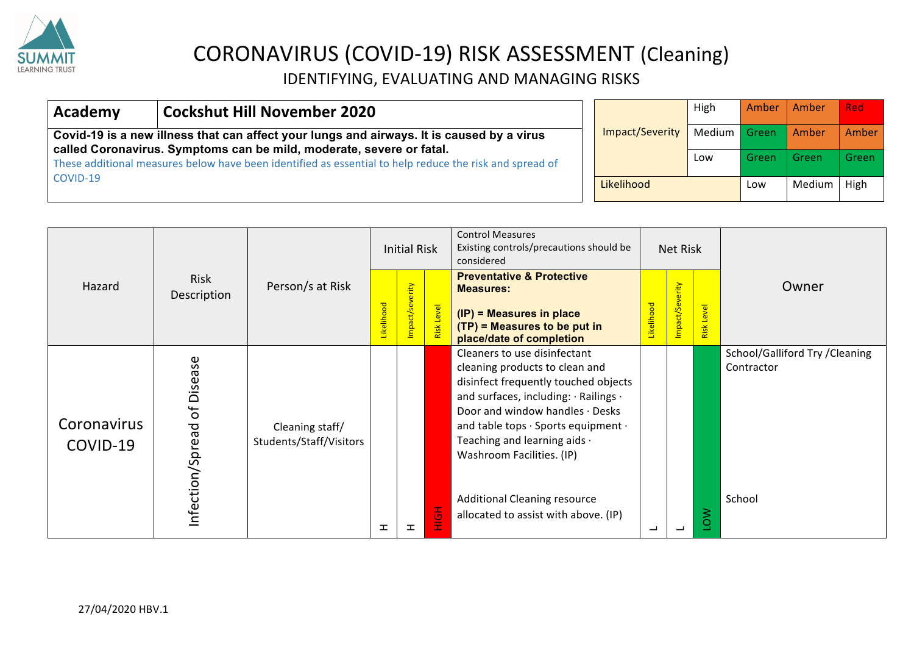

| <b>Cockshut Hill November 2020</b><br>Academy                                                                                                                     |                 |              | High          | Amber | Amber | <b>Red</b> |  |
|-------------------------------------------------------------------------------------------------------------------------------------------------------------------|-----------------|--------------|---------------|-------|-------|------------|--|
| Covid-19 is a new illness that can affect your lungs and airways. It is caused by a virus<br>called Coronavirus. Symptoms can be mild, moderate, severe or fatal. | Impact/Severity | Medium Green |               | Amber | Amber |            |  |
| These additional measures below have been identified as essential to help reduce the risk and spread of                                                           |                 |              | Low           | Green | Green | Green      |  |
| COVID-19                                                                                                                                                          | Likelihood      | Low          | Medium   High |       |       |            |  |

|                         |                                         |                                            |           | <b>Initial Risk</b> |                                 | <b>Control Measures</b><br>Existing controls/precautions should be<br>considered                                                                                                                                                                                                                                                                                      | <b>Net Risk</b> |                |            |                                                        |
|-------------------------|-----------------------------------------|--------------------------------------------|-----------|---------------------|---------------------------------|-----------------------------------------------------------------------------------------------------------------------------------------------------------------------------------------------------------------------------------------------------------------------------------------------------------------------------------------------------------------------|-----------------|----------------|------------|--------------------------------------------------------|
| Hazard                  | Risk<br>Description                     | Person/s at Risk                           | ikelihood | impact/severity     | level<br>Level<br>$\frac{1}{2}$ | <b>Preventative &amp; Protective</b><br><b>Measures:</b><br>(IP) = Measures in place<br>$(TP)$ = Measures to be put in<br>place/date of completion                                                                                                                                                                                                                    | ikelihood       | mpact/Severity | Risk Level | Owner                                                  |
| Coronavirus<br>COVID-19 | Disease<br>$\sigma$<br>Infection/Spread | Cleaning staff/<br>Students/Staff/Visitors | ᆂ         | 工                   | Œ<br>$\circ$                    | Cleaners to use disinfectant<br>cleaning products to clean and<br>disinfect frequently touched objects<br>and surfaces, including: · Railings ·<br>Door and window handles · Desks<br>and table tops · Sports equipment ·<br>Teaching and learning aids .<br>Washroom Facilities. (IP)<br><b>Additional Cleaning resource</b><br>allocated to assist with above. (IP) | ᆜ               |                | ⋧<br>O     | School/Galliford Try /Cleaning<br>Contractor<br>School |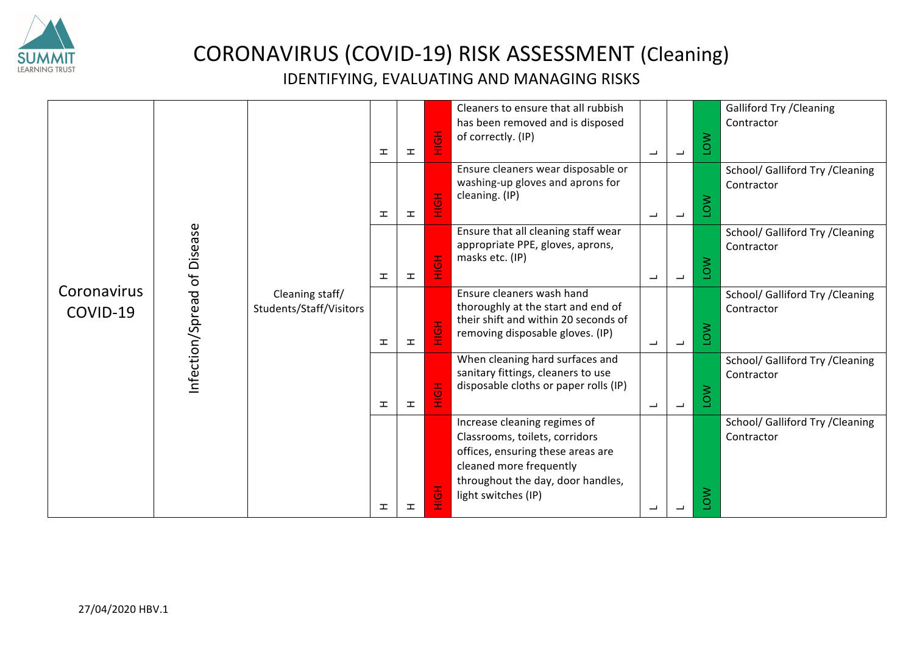

|                                                           |                                            |  |                         |         | Cleaners to ensure that all rubbish<br>has been removed and is disposed<br>of correctly. (IP)                                                                                              |     |                                                                                                                |                                                                                                                                             | <b>Galliford Try / Cleaning</b><br>Contractor  |                                                                                            |                                                |                                                |     |                                                |                                                                                          |   |                          |     |                                                |
|-----------------------------------------------------------|--------------------------------------------|--|-------------------------|---------|--------------------------------------------------------------------------------------------------------------------------------------------------------------------------------------------|-----|----------------------------------------------------------------------------------------------------------------|---------------------------------------------------------------------------------------------------------------------------------------------|------------------------------------------------|--------------------------------------------------------------------------------------------|------------------------------------------------|------------------------------------------------|-----|------------------------------------------------|------------------------------------------------------------------------------------------|---|--------------------------|-----|------------------------------------------------|
|                                                           | Cleaning staff/<br>Students/Staff/Visitors |  |                         |         |                                                                                                                                                                                            |     |                                                                                                                |                                                                                                                                             |                                                |                                                                                            |                                                | 工                                              | H   | 톟                                              | Ensure cleaners wear disposable or<br>washing-up gloves and aprons for<br>cleaning. (IP) | ب | $\overline{\phantom{a}}$ | NOT | School/ Galliford Try / Cleaning<br>Contractor |
| of Disease<br>Coronavirus<br>Infection/Spread<br>COVID-19 |                                            |  |                         |         |                                                                                                                                                                                            |     | 工                                                                                                              | 工                                                                                                                                           | H <sub>OH</sub>                                | Ensure that all cleaning staff wear<br>appropriate PPE, gloves, aprons,<br>masks etc. (IP) | ب                                              | $\overline{\phantom{0}}$                       | NOT | School/ Galliford Try / Cleaning<br>Contractor |                                                                                          |   |                          |     |                                                |
|                                                           |                                            |  |                         |         | 工                                                                                                                                                                                          | 工   | H <sub>OH</sub>                                                                                                | Ensure cleaners wash hand<br>thoroughly at the start and end of<br>their shift and within 20 seconds of<br>removing disposable gloves. (IP) | L                                              | $\overline{\phantom{0}}$                                                                   | NOT                                            | School/ Galliford Try / Cleaning<br>Contractor |     |                                                |                                                                                          |   |                          |     |                                                |
|                                                           |                                            |  |                         | 工       | $\mathbf{r}$                                                                                                                                                                               | HOH | When cleaning hard surfaces and<br>sanitary fittings, cleaners to use<br>disposable cloths or paper rolls (IP) | $\overline{\phantom{0}}$                                                                                                                    | $\overline{\phantom{0}}$                       | NOT                                                                                        | School/ Galliford Try / Cleaning<br>Contractor |                                                |     |                                                |                                                                                          |   |                          |     |                                                |
|                                                           |                                            |  |                         |         | Increase cleaning regimes of<br>Classrooms, toilets, corridors<br>offices, ensuring these areas are<br>cleaned more frequently<br>throughout the day, door handles,<br>light switches (IP) |     |                                                                                                                |                                                                                                                                             | School/ Galliford Try / Cleaning<br>Contractor |                                                                                            |                                                |                                                |     |                                                |                                                                                          |   |                          |     |                                                |
|                                                           |                                            |  | $\mathbf T$<br><b>I</b> | H.<br>ᆂ | 톟<br>흹                                                                                                                                                                                     |     | $\overline{\phantom{0}}$<br>┙                                                                                  | $\overline{\phantom{a}}$                                                                                                                    | NOT<br>ΜO٦                                     |                                                                                            |                                                |                                                |     |                                                |                                                                                          |   |                          |     |                                                |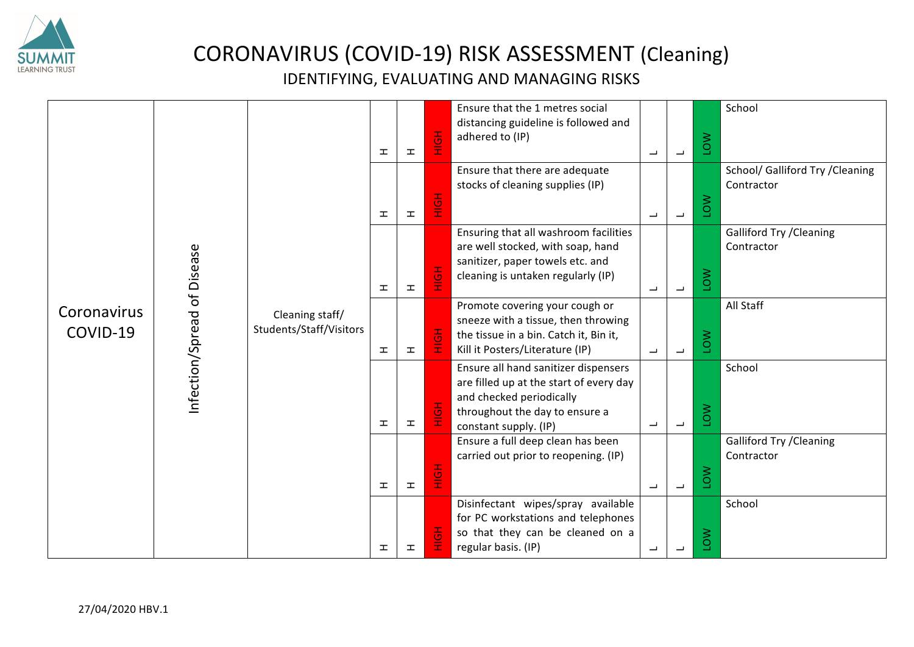

| of Disease<br>Coronavirus<br>nfection/Spread<br>COVID-19 |  | Cleaning staff/<br>Students/Staff/Visitors |   |   |             |                                                                                                                                     |     |                                                                                                                                                                        |                          | $\mathbf T$              | H                                                                                                                                                  | HOH                                                                                                                                                  | Ensure that the 1 metres social<br>distancing guideline is followed and<br>adhered to (IP) | $\overline{\phantom{0}}$ | $\overline{\phantom{a}}$ | <b>NOT</b>                                    | School                                                             |   |                          |            |                                                |           |     |
|----------------------------------------------------------|--|--------------------------------------------|---|---|-------------|-------------------------------------------------------------------------------------------------------------------------------------|-----|------------------------------------------------------------------------------------------------------------------------------------------------------------------------|--------------------------|--------------------------|----------------------------------------------------------------------------------------------------------------------------------------------------|------------------------------------------------------------------------------------------------------------------------------------------------------|--------------------------------------------------------------------------------------------|--------------------------|--------------------------|-----------------------------------------------|--------------------------------------------------------------------|---|--------------------------|------------|------------------------------------------------|-----------|-----|
|                                                          |  |                                            |   |   |             |                                                                                                                                     |     |                                                                                                                                                                        |                          |                          |                                                                                                                                                    |                                                                                                                                                      |                                                                                            | $\mathbf{I}$             | 工                        | HOH                                           | Ensure that there are adequate<br>stocks of cleaning supplies (IP) | ب | $\overline{\phantom{0}}$ | <b>NOT</b> | School/ Galliford Try / Cleaning<br>Contractor |           |     |
|                                                          |  |                                            |   |   |             |                                                                                                                                     |     |                                                                                                                                                                        | 工                        | <b>II</b>                | HOH                                                                                                                                                | Ensuring that all washroom facilities<br>are well stocked, with soap, hand<br>sanitizer, paper towels etc. and<br>cleaning is untaken regularly (IP) | $\overline{\phantom{a}}$                                                                   | $\overline{\phantom{m}}$ | <b>NO1</b>               | <b>Galliford Try / Cleaning</b><br>Contractor |                                                                    |   |                          |            |                                                |           |     |
|                                                          |  |                                            |   |   |             |                                                                                                                                     |     | $\mathbf{I}$                                                                                                                                                           | <b>II</b>                | HOH                      | Promote covering your cough or<br>sneeze with a tissue, then throwing<br>the tissue in a bin. Catch it, Bin it,<br>Kill it Posters/Literature (IP) | $\overline{\phantom{a}}$                                                                                                                             | $\overline{\phantom{0}}$                                                                   | LOW                      | All Staff                |                                               |                                                                    |   |                          |            |                                                |           |     |
|                                                          |  |                                            |   |   | $\mathbf T$ | <b>II</b>                                                                                                                           | HOH | Ensure all hand sanitizer dispensers<br>are filled up at the start of every day<br>and checked periodically<br>throughout the day to ensure a<br>constant supply. (IP) | $\overline{\phantom{a}}$ | $\overline{\phantom{m}}$ | <b>NOT</b>                                                                                                                                         | School                                                                                                                                               |                                                                                            |                          |                          |                                               |                                                                    |   |                          |            |                                                |           |     |
|                                                          |  |                                            |   |   |             |                                                                                                                                     |     |                                                                                                                                                                        |                          |                          |                                                                                                                                                    |                                                                                                                                                      |                                                                                            |                          |                          |                                               |                                                                    |   |                          |            | $\mathbf T$                                    | <b>II</b> | HOH |
|                                                          |  |                                            | H | 工 | HOH         | Disinfectant wipes/spray available<br>for PC workstations and telephones<br>so that they can be cleaned on a<br>regular basis. (IP) | ┙   | L                                                                                                                                                                      | NOT                      | School                   |                                                                                                                                                    |                                                                                                                                                      |                                                                                            |                          |                          |                                               |                                                                    |   |                          |            |                                                |           |     |